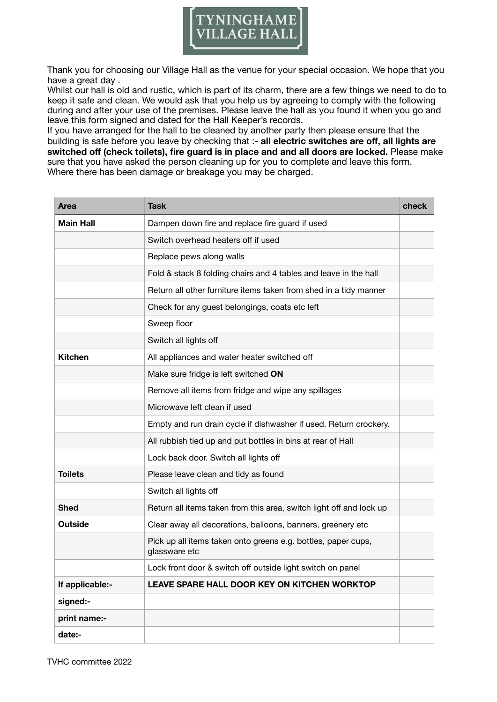

Thank you for choosing our Village Hall as the venue for your special occasion. We hope that you have a great day .

Whilst our hall is old and rustic, which is part of its charm, there are a few things we need to do to keep it safe and clean. We would ask that you help us by agreeing to comply with the following during and after your use of the premises. Please leave the hall as you found it when you go and leave this form signed and dated for the Hall Keeper's records.

If you have arranged for the hall to be cleaned by another party then please ensure that the building is safe before you leave by checking that :- **all electric switches are off, all lights are switched off (check toilets), fire guard is in place and and all doors are locked.** Please make sure that you have asked the person cleaning up for you to complete and leave this form. Where there has been damage or breakage you may be charged.

| Area             | <b>Task</b>                                                                    | check |
|------------------|--------------------------------------------------------------------------------|-------|
| <b>Main Hall</b> | Dampen down fire and replace fire guard if used                                |       |
|                  | Switch overhead heaters off if used                                            |       |
|                  | Replace pews along walls                                                       |       |
|                  | Fold & stack 8 folding chairs and 4 tables and leave in the hall               |       |
|                  | Return all other furniture items taken from shed in a tidy manner              |       |
|                  | Check for any guest belongings, coats etc left                                 |       |
|                  | Sweep floor                                                                    |       |
|                  | Switch all lights off                                                          |       |
| <b>Kitchen</b>   | All appliances and water heater switched off                                   |       |
|                  | Make sure fridge is left switched ON                                           |       |
|                  | Remove all items from fridge and wipe any spillages                            |       |
|                  | Microwave left clean if used                                                   |       |
|                  | Empty and run drain cycle if dishwasher if used. Return crockery.              |       |
|                  | All rubbish tied up and put bottles in bins at rear of Hall                    |       |
|                  | Lock back door. Switch all lights off                                          |       |
| <b>Toilets</b>   | Please leave clean and tidy as found                                           |       |
|                  | Switch all lights off                                                          |       |
| <b>Shed</b>      | Return all items taken from this area, switch light off and lock up            |       |
| <b>Outside</b>   | Clear away all decorations, balloons, banners, greenery etc                    |       |
|                  | Pick up all items taken onto greens e.g. bottles, paper cups,<br>glassware etc |       |
|                  | Lock front door & switch off outside light switch on panel                     |       |
| If applicable:-  | LEAVE SPARE HALL DOOR KEY ON KITCHEN WORKTOP                                   |       |
| signed:-         |                                                                                |       |
| print name:-     |                                                                                |       |
| date:-           |                                                                                |       |